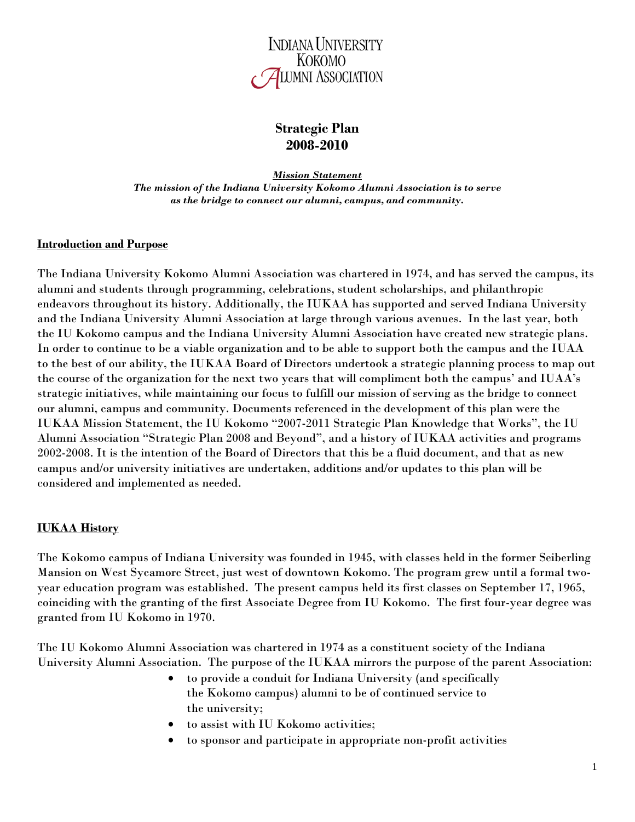

# **Strategic Plan 2008-2010**

*Mission Statement The mission of the Indiana University Kokomo Alumni Association is to serve as the bridge to connect our alumni, campus, and community.*

#### **Introduction and Purpose**

The Indiana University Kokomo Alumni Association was chartered in 1974, and has served the campus, its alumni and students through programming, celebrations, student scholarships, and philanthropic endeavors throughout its history. Additionally, the IUKAA has supported and served Indiana University and the Indiana University Alumni Association at large through various avenues. In the last year, both the IU Kokomo campus and the Indiana University Alumni Association have created new strategic plans. In order to continue to be a viable organization and to be able to support both the campus and the IUAA to the best of our ability, the IUKAA Board of Directors undertook a strategic planning process to map out the course of the organization for the next two years that will compliment both the campus' and IUAA's strategic initiatives, while maintaining our focus to fulfill our mission of serving as the bridge to connect our alumni, campus and community. Documents referenced in the development of this plan were the IUKAA Mission Statement, the IU Kokomo "2007-2011 Strategic Plan Knowledge that Works", the IU Alumni Association "Strategic Plan 2008 and Beyond", and a history of IUKAA activities and programs 2002-2008. It is the intention of the Board of Directors that this be a fluid document, and that as new campus and/or university initiatives are undertaken, additions and/or updates to this plan will be considered and implemented as needed.

#### **IUKAA History**

The Kokomo campus of Indiana University was founded in 1945, with classes held in the former Seiberling Mansion on West Sycamore Street, just west of downtown Kokomo. The program grew until a formal twoyear education program was established. The present campus held its first classes on September 17, 1965, coinciding with the granting of the first Associate Degree from IU Kokomo. The first four-year degree was granted from IU Kokomo in 1970.

The IU Kokomo Alumni Association was chartered in 1974 as a constituent society of the Indiana University Alumni Association. The purpose of the IUKAA mirrors the purpose of the parent Association:

- to provide a conduit for Indiana University (and specifically the Kokomo campus) alumni to be of continued service to the university;
- to assist with IU Kokomo activities;
- to sponsor and participate in appropriate non-profit activities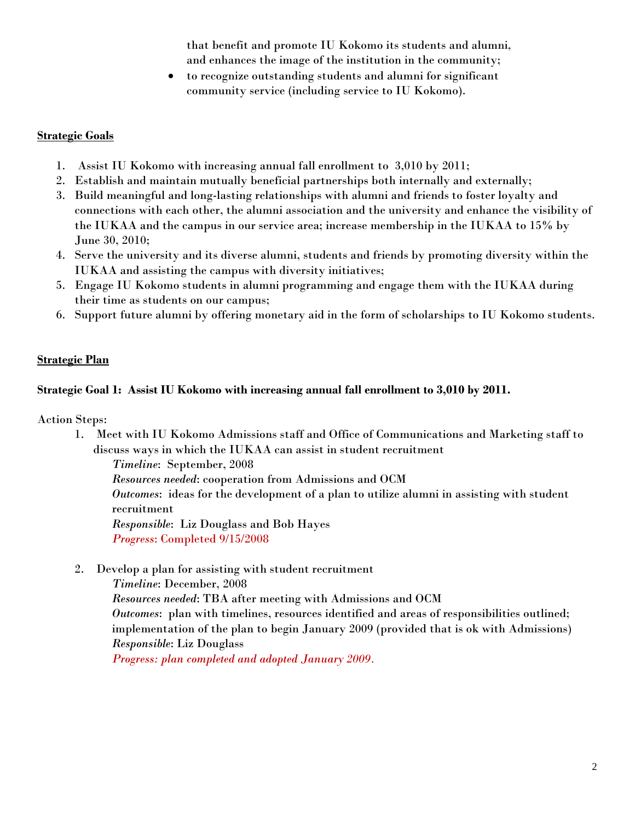that benefit and promote IU Kokomo its students and alumni, and enhances the image of the institution in the community;

• to recognize outstanding students and alumni for significant community service (including service to IU Kokomo).

### **Strategic Goals**

- 1. Assist IU Kokomo with increasing annual fall enrollment to 3,010 by 2011;
- 2. Establish and maintain mutually beneficial partnerships both internally and externally;
- 3. Build meaningful and long-lasting relationships with alumni and friends to foster loyalty and connections with each other, the alumni association and the university and enhance the visibility of the IUKAA and the campus in our service area; increase membership in the IUKAA to 15% by June 30, 2010;
- 4. Serve the university and its diverse alumni, students and friends by promoting diversity within the IUKAA and assisting the campus with diversity initiatives;
- 5. Engage IU Kokomo students in alumni programming and engage them with the IUKAA during their time as students on our campus;
- 6. Support future alumni by offering monetary aid in the form of scholarships to IU Kokomo students.

## **Strategic Plan**

### **Strategic Goal 1: Assist IU Kokomo with increasing annual fall enrollment to 3,010 by 2011.**

Action Steps:

1. Meet with IU Kokomo Admissions staff and Office of Communications and Marketing staff to discuss ways in which the IUKAA can assist in student recruitment

*Timeline*: September, 2008

*Resources needed*: cooperation from Admissions and OCM

*Outcomes*: ideas for the development of a plan to utilize alumni in assisting with student recruitment

*Responsible*: Liz Douglass and Bob Hayes *Progress*: Completed 9/15/2008

2. Develop a plan for assisting with student recruitment

*Timeline*: December, 2008

*Resources needed*: TBA after meeting with Admissions and OCM *Outcomes*: plan with timelines, resources identified and areas of responsibilities outlined; implementation of the plan to begin January 2009 (provided that is ok with Admissions) *Responsible*: Liz Douglass

*Progress: plan completed and adopted January 2009.*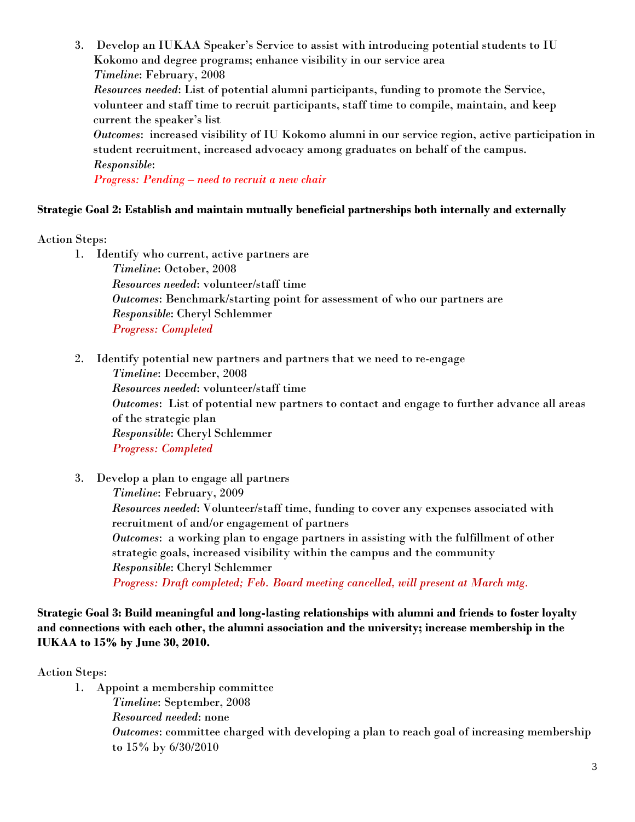3. Develop an IUKAA Speaker's Service to assist with introducing potential students to IU Kokomo and degree programs; enhance visibility in our service area *Timeline*: February, 2008 *Resources needed*: List of potential alumni participants, funding to promote the Service, volunteer and staff time to recruit participants, staff time to compile, maintain, and keep current the speaker's list *Outcomes*: increased visibility of IU Kokomo alumni in our service region, active participation in student recruitment, increased advocacy among graduates on behalf of the campus. *Responsible*:

*Progress: Pending – need to recruit a new chair*

## **Strategic Goal 2: Establish and maintain mutually beneficial partnerships both internally and externally**

Action Steps:

- 1. Identify who current, active partners are *Timeline*: October, 2008 *Resources needed*: volunteer/staff time *Outcomes*: Benchmark/starting point for assessment of who our partners are *Responsible*: Cheryl Schlemmer *Progress: Completed*
- 2. Identify potential new partners and partners that we need to re-engage *Timeline*: December, 2008 *Resources needed*: volunteer/staff time *Outcomes*: List of potential new partners to contact and engage to further advance all areas of the strategic plan *Responsible*: Cheryl Schlemmer *Progress: Completed*
- 3. Develop a plan to engage all partners *Timeline*: February, 2009 *Resources needed*: Volunteer/staff time, funding to cover any expenses associated with recruitment of and/or engagement of partners *Outcomes*: a working plan to engage partners in assisting with the fulfillment of other strategic goals, increased visibility within the campus and the community *Responsible*: Cheryl Schlemmer *Progress: Draft completed; Feb. Board meeting cancelled, will present at March mtg.*

### **Strategic Goal 3: Build meaningful and long-lasting relationships with alumni and friends to foster loyalty and connections with each other, the alumni association and the university; increase membership in the IUKAA to 15% by June 30, 2010.**

Action Steps:

- 1. Appoint a membership committee
	- *Timeline*: September, 2008 *Resourced needed*: none *Outcomes*: committee charged with developing a plan to reach goal of increasing membership to 15% by 6/30/2010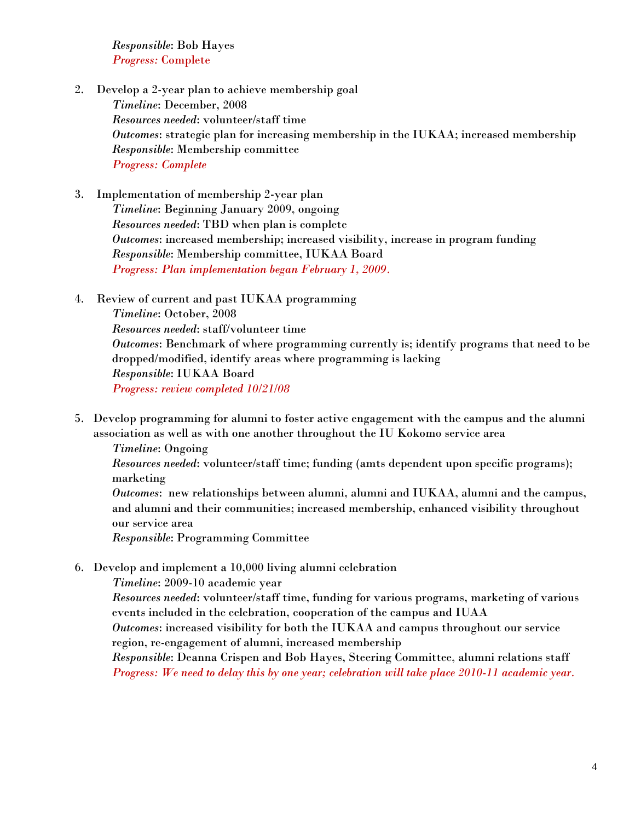*Responsible*: Bob Hayes *Progress:* Complete

- 2. Develop a 2-year plan to achieve membership goal *Timeline*: December, 2008 *Resources needed*: volunteer/staff time *Outcomes*: strategic plan for increasing membership in the IUKAA; increased membership *Responsible*: Membership committee *Progress: Complete*
- 3. Implementation of membership 2-year plan *Timeline*: Beginning January 2009, ongoing *Resources needed*: TBD when plan is complete *Outcomes*: increased membership; increased visibility, increase in program funding *Responsible*: Membership committee, IUKAA Board *Progress: Plan implementation began February 1, 2009.*
- 4. Review of current and past IUKAA programming

*Timeline*: October, 2008 *Resources needed*: staff/volunteer time *Outcomes*: Benchmark of where programming currently is; identify programs that need to be dropped/modified, identify areas where programming is lacking *Responsible*: IUKAA Board *Progress: review completed 10/21/08*

5. Develop programming for alumni to foster active engagement with the campus and the alumni association as well as with one another throughout the IU Kokomo service area

*Timeline*: Ongoing *Resources needed*: volunteer/staff time; funding (amts dependent upon specific programs); marketing *Outcomes*: new relationships between alumni, alumni and IUKAA, alumni and the campus, and alumni and their communities; increased membership, enhanced visibility throughout our service area *Responsible*: Programming Committee

- 6. Develop and implement a 10,000 living alumni celebration
	- *Timeline*: 2009-10 academic year

*Resources needed*: volunteer/staff time, funding for various programs, marketing of various events included in the celebration, cooperation of the campus and IUAA

*Outcomes*: increased visibility for both the IUKAA and campus throughout our service region, re-engagement of alumni, increased membership

*Responsible*: Deanna Crispen and Bob Hayes, Steering Committee, alumni relations staff *Progress: We need to delay this by one year; celebration will take place 2010-11 academic year.*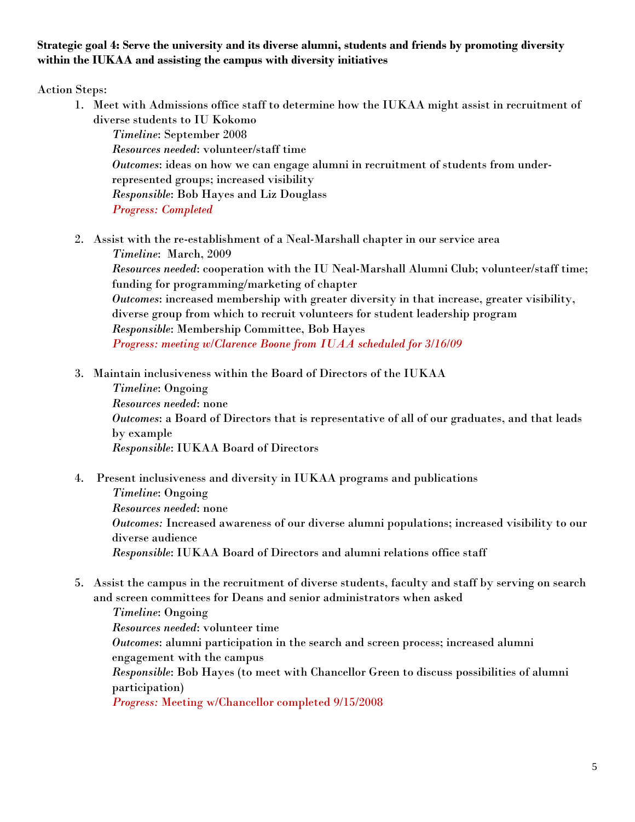### **Strategic goal 4: Serve the university and its diverse alumni, students and friends by promoting diversity within the IUKAA and assisting the campus with diversity initiatives**

Action Steps:

1. Meet with Admissions office staff to determine how the IUKAA might assist in recruitment of diverse students to IU Kokomo

*Timeline*: September 2008 *Resources needed*: volunteer/staff time *Outcomes*: ideas on how we can engage alumni in recruitment of students from underrepresented groups; increased visibility *Responsible*: Bob Hayes and Liz Douglass *Progress: Completed* 

2. Assist with the re-establishment of a Neal-Marshall chapter in our service area

*Timeline*: March, 2009 *Resources needed*: cooperation with the IU Neal-Marshall Alumni Club; volunteer/staff time; funding for programming/marketing of chapter *Outcomes*: increased membership with greater diversity in that increase, greater visibility, diverse group from which to recruit volunteers for student leadership program *Responsible*: Membership Committee, Bob Hayes *Progress: meeting w/Clarence Boone from IUAA scheduled for 3/16/09*

3. Maintain inclusiveness within the Board of Directors of the IUKAA

*Timeline*: Ongoing *Resources needed*: none *Outcomes*: a Board of Directors that is representative of all of our graduates, and that leads by example *Responsible*: IUKAA Board of Directors

4. Present inclusiveness and diversity in IUKAA programs and publications

*Timeline*: Ongoing *Resources needed*: none *Outcomes:* Increased awareness of our diverse alumni populations; increased visibility to our diverse audience *Responsible*: IUKAA Board of Directors and alumni relations office staff

5. Assist the campus in the recruitment of diverse students, faculty and staff by serving on search and screen committees for Deans and senior administrators when asked

*Timeline*: Ongoing *Resources needed*: volunteer time *Outcomes*: alumni participation in the search and screen process; increased alumni engagement with the campus *Responsible*: Bob Hayes (to meet with Chancellor Green to discuss possibilities of alumni participation) *Progress:* Meeting w/Chancellor completed 9/15/2008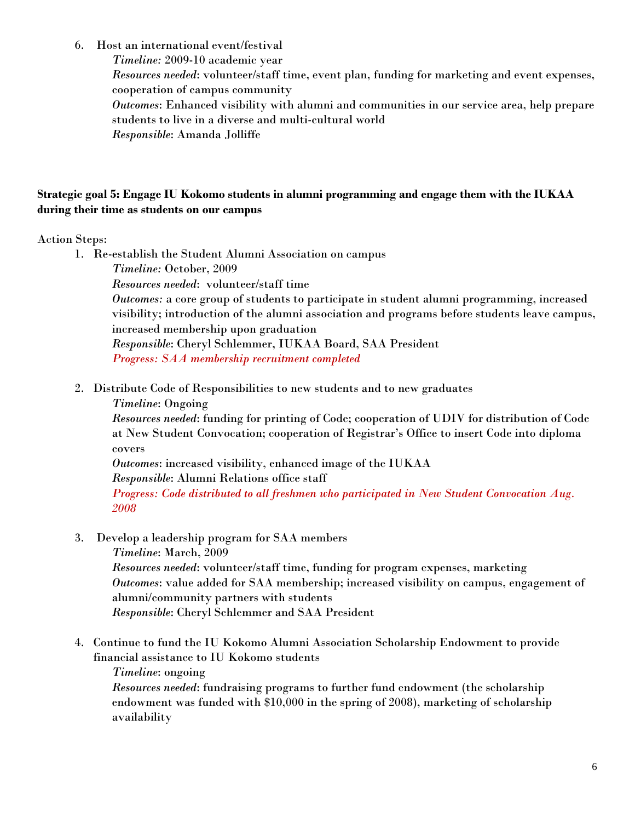6. Host an international event/festival

*Timeline:* 2009-10 academic year

*Resources needed*: volunteer/staff time, event plan, funding for marketing and event expenses, cooperation of campus community

*Outcomes*: Enhanced visibility with alumni and communities in our service area, help prepare students to live in a diverse and multi-cultural world

*Responsible*: Amanda Jolliffe

### **Strategic goal 5: Engage IU Kokomo students in alumni programming and engage them with the IUKAA during their time as students on our campus**

Action Steps:

- 1. Re-establish the Student Alumni Association on campus *Timeline:* October, 2009 *Resources needed*: volunteer/staff time *Outcomes:* a core group of students to participate in student alumni programming, increased visibility; introduction of the alumni association and programs before students leave campus, increased membership upon graduation *Responsible*: Cheryl Schlemmer, IUKAA Board, SAA President *Progress: SAA membership recruitment completed*
- 2. Distribute Code of Responsibilities to new students and to new graduates
	- *Timeline*: Ongoing

*Resources needed*: funding for printing of Code; cooperation of UDIV for distribution of Code at New Student Convocation; cooperation of Registrar's Office to insert Code into diploma covers

*Outcomes*: increased visibility, enhanced image of the IUKAA

*Responsible*: Alumni Relations office staff

*Progress: Code distributed to all freshmen who participated in New Student Convocation Aug. 2008*

3. Develop a leadership program for SAA members

*Timeline*: March, 2009

*Resources needed*: volunteer/staff time, funding for program expenses, marketing *Outcomes*: value added for SAA membership; increased visibility on campus, engagement of alumni/community partners with students *Responsible*: Cheryl Schlemmer and SAA President

4. Continue to fund the IU Kokomo Alumni Association Scholarship Endowment to provide financial assistance to IU Kokomo students

### *Timeline*: ongoing

*Resources needed*: fundraising programs to further fund endowment (the scholarship endowment was funded with \$10,000 in the spring of 2008), marketing of scholarship availability